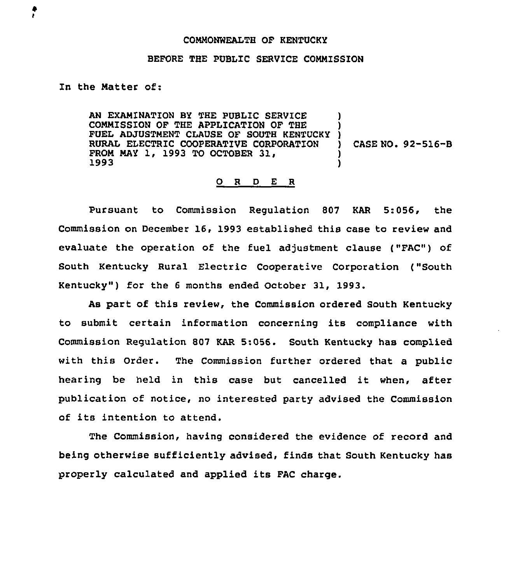## CONMONWEALTH OF KENTUCKY

## BEFORE THE PUBLIC SERVICE CONNISSION

## In the Natter of:

AN EXANINATION BY THE PUBLIC SERVICE CONNISSION OF THE APPLICATION OF THE FUEL ADJUSTNENT CLAUSE OF SOUTH KENTUCKY RURAL ELECTRIC COOPERATIVE CORPORATION FROM MAY 1, 1993 TO OCTOBER 31,<br>1993 ) ) ) ) CASE NO. 92-516-B ) )

## 0 R <sup>D</sup> E <sup>R</sup>

Pursuant to Commission Regulation 807 KAR 5:056, the Commission on December 16, 1993 established this case to review and evaluate the operation of the fuel adjustment clause ("FAC") of South Kentucky Rural Electric Cooperative Corporation ("South Kentucky" ) for the <sup>6</sup> months ended October 31, 1993.

As part of this review, the Commission ordered South Kentucky to submit certain information concerning its compliance with Commission Regulation 807 KAR 5:056. South Kentucky has complied with this Order. The Commission further ordered that a public hearing be held in this case but cancelled it when, after publication of notice, no interested party advised the Commission of its intention to attend.

The Commission, having considered the evidence of record and being otherwise sufficiently advised, finds that South Kentucky has properly calculated and applied its FAC charge.